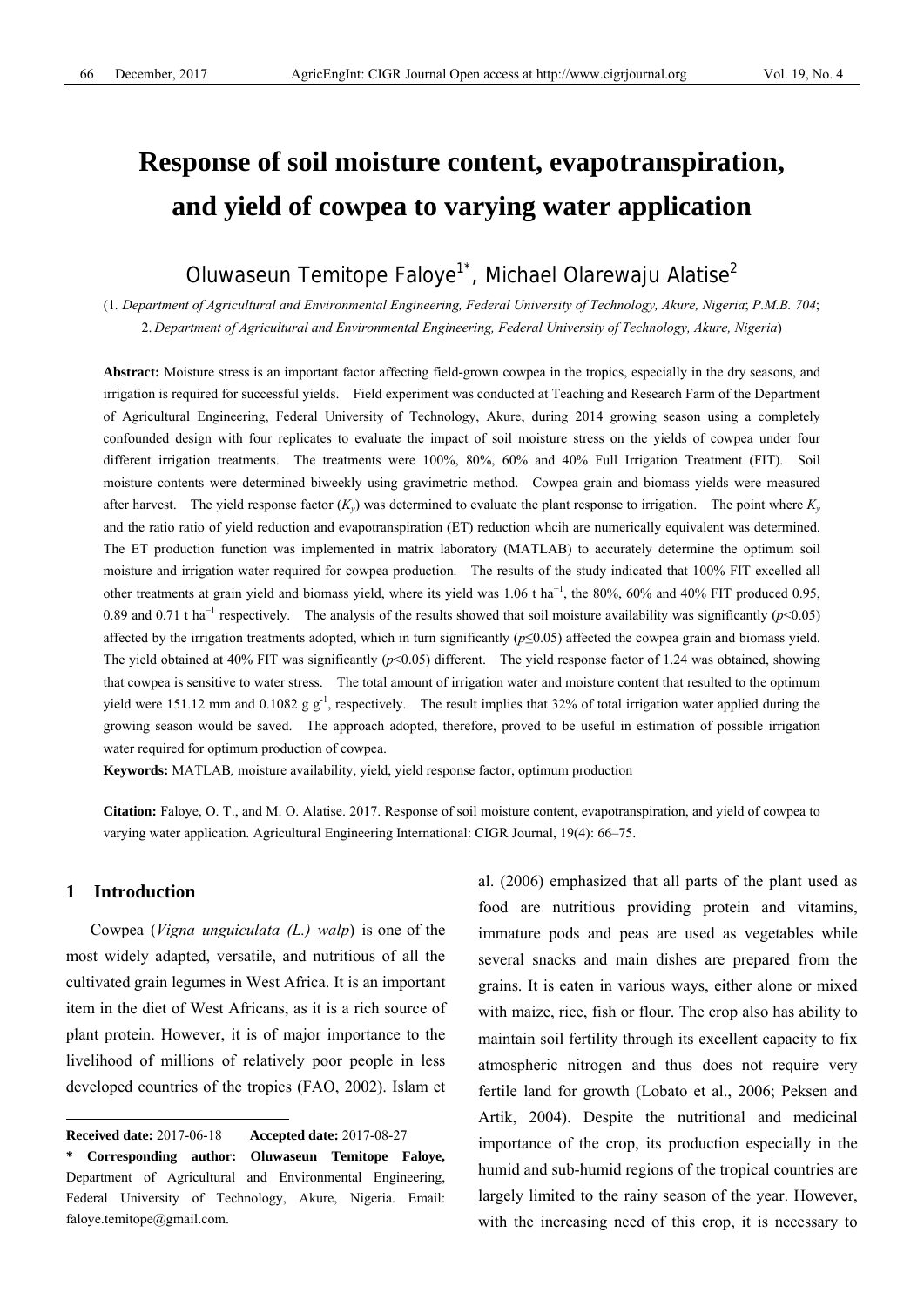# **Response of soil moisture content, evapotranspiration, and yield of cowpea to varying water application**

## Oluwaseun Temitope Faloye<sup>1\*</sup>, Michael Olarewaju Alatise<sup>2</sup>

(1*. Department of Agricultural and Environmental Engineering, Federal University of Technology, Akure, Nigeria*; *P.M.B. 704*; 2. *Department of Agricultural and Environmental Engineering, Federal University of Technology, Akure, Nigeria*)

**Abstract:** Moisture stress is an important factor affecting field-grown cowpea in the tropics, especially in the dry seasons, and irrigation is required for successful yields. Field experiment was conducted at Teaching and Research Farm of the Department of Agricultural Engineering, Federal University of Technology, Akure, during 2014 growing season using a completely confounded design with four replicates to evaluate the impact of soil moisture stress on the yields of cowpea under four different irrigation treatments. The treatments were 100%, 80%, 60% and 40% Full Irrigation Treatment (FIT). Soil moisture contents were determined biweekly using gravimetric method. Cowpea grain and biomass yields were measured after harvest. The yield response factor  $(K_v)$  was determined to evaluate the plant response to irrigation. The point where  $K_v$ and the ratio ratio of yield reduction and evapotranspiration (ET) reduction whcih are numerically equivalent was determined. The ET production function was implemented in matrix laboratory (MATLAB) to accurately determine the optimum soil moisture and irrigation water required for cowpea production. The results of the study indicated that 100% FIT excelled all other treatments at grain yield and biomass yield, where its yield was 1.06 t ha<sup>-1</sup>, the 80%, 60% and 40% FIT produced 0.95, 0.89 and 0.71 t ha<sup>-1</sup> respectively. The analysis of the results showed that soil moisture availability was significantly ( $p$ <0.05) affected by the irrigation treatments adopted, which in turn significantly (*p*≤0.05) affected the cowpea grain and biomass yield. The yield obtained at 40% FIT was significantly (*p*<0.05) different. The yield response factor of 1.24 was obtained, showing that cowpea is sensitive to water stress. The total amount of irrigation water and moisture content that resulted to the optimum yield were 151.12 mm and 0.1082 g  $g^{-1}$ , respectively. The result implies that 32% of total irrigation water applied during the growing season would be saved. The approach adopted, therefore, proved to be useful in estimation of possible irrigation water required for optimum production of cowpea.

**Keywords:** MATLAB*,* moisture availability, yield, yield response factor, optimum production

**Citation:** Faloye, O. T., and M. O. Alatise. 2017. Response of soil moisture content, evapotranspiration, and yield of cowpea to varying water application. Agricultural Engineering International: CIGR Journal, 19(4): 66–75.

#### **1 Introduction**

 $\overline{a}$ 

Cowpea (*Vigna unguiculata (L.) walp*) is one of the most widely adapted, versatile, and nutritious of all the cultivated grain legumes in West Africa. It is an important item in the diet of West Africans, as it is a rich source of plant protein. However, it is of major importance to the livelihood of millions of relatively poor people in less developed countries of the tropics (FAO, 2002). Islam et

al. (2006) emphasized that all parts of the plant used as food are nutritious providing protein and vitamins, immature pods and peas are used as vegetables while several snacks and main dishes are prepared from the grains. It is eaten in various ways, either alone or mixed with maize, rice, fish or flour. The crop also has ability to maintain soil fertility through its excellent capacity to fix atmospheric nitrogen and thus does not require very fertile land for growth (Lobato et al., 2006; Peksen and Artik, 2004). Despite the nutritional and medicinal importance of the crop, its production especially in the humid and sub-humid regions of the tropical countries are largely limited to the rainy season of the year. However, with the increasing need of this crop, it is necessary to

**Received date:** 2017-06-18 **Accepted date:** 2017-08-27

**<sup>\*</sup> Corresponding author: Oluwaseun Temitope Faloye,**  Department of Agricultural and Environmental Engineering, Federal University of Technology, Akure, Nigeria. Email: faloye.temitope@gmail.com.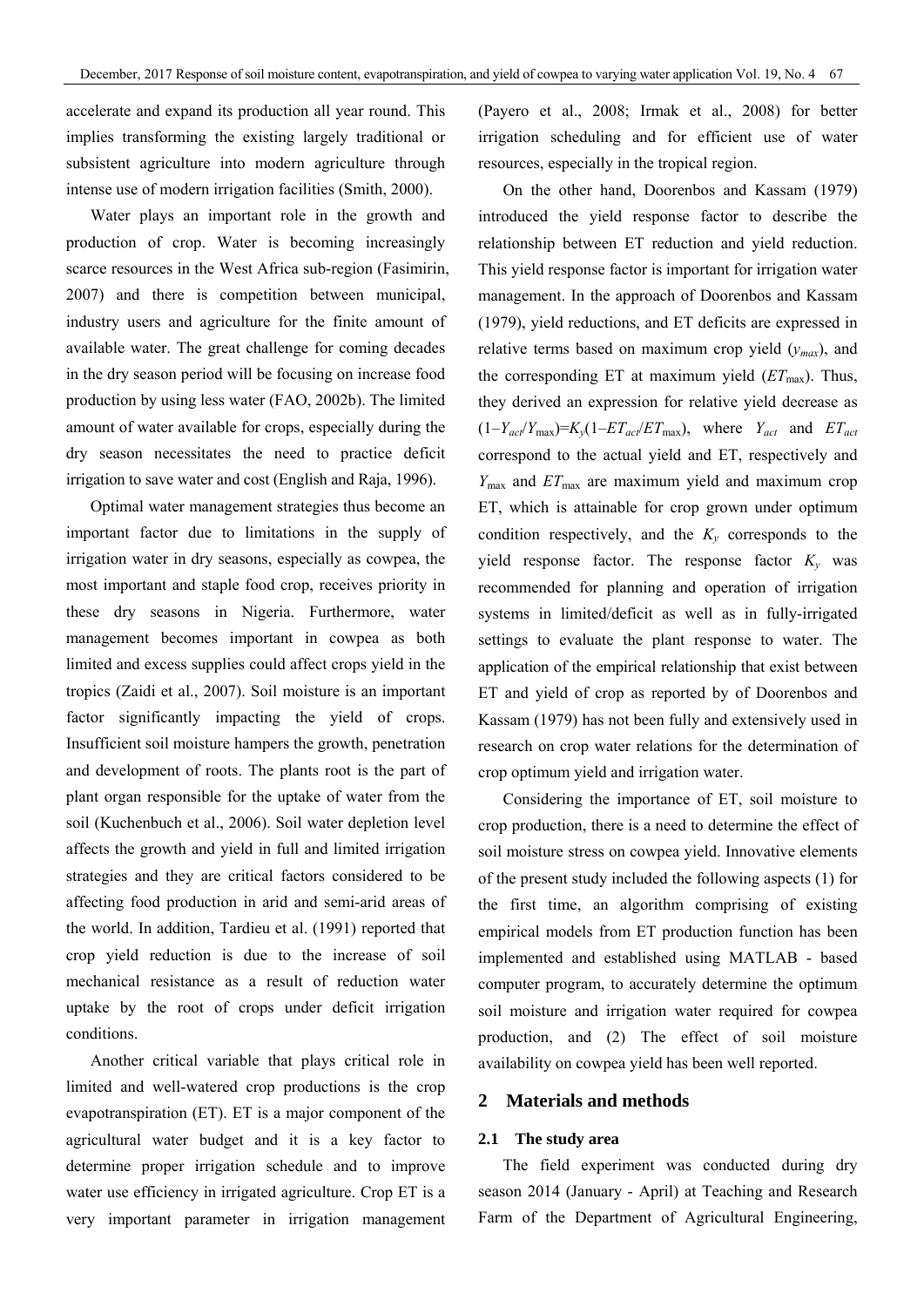accelerate and expand its production all year round. This implies transforming the existing largely traditional or subsistent agriculture into modern agriculture through intense use of modern irrigation facilities (Smith, 2000).

Water plays an important role in the growth and production of crop. Water is becoming increasingly scarce resources in the West Africa sub-region (Fasimirin, 2007) and there is competition between municipal, industry users and agriculture for the finite amount of available water. The great challenge for coming decades in the dry season period will be focusing on increase food production by using less water (FAO, 2002b). The limited amount of water available for crops, especially during the dry season necessitates the need to practice deficit irrigation to save water and cost (English and Raja, 1996).

Optimal water management strategies thus become an important factor due to limitations in the supply of irrigation water in dry seasons, especially as cowpea, the most important and staple food crop, receives priority in these dry seasons in Nigeria. Furthermore, water management becomes important in cowpea as both limited and excess supplies could affect crops yield in the tropics (Zaidi et al., 2007). Soil moisture is an important factor significantly impacting the yield of crops. Insufficient soil moisture hampers the growth, penetration and development of roots. The plants root is the part of plant organ responsible for the uptake of water from the soil (Kuchenbuch et al., 2006). Soil water depletion level affects the growth and yield in full and limited irrigation strategies and they are critical factors considered to be affecting food production in arid and semi-arid areas of the world. In addition, Tardieu et al. (1991) reported that crop yield reduction is due to the increase of soil mechanical resistance as a result of reduction water uptake by the root of crops under deficit irrigation conditions.

Another critical variable that plays critical role in limited and well-watered crop productions is the crop evapotranspiration (ET). ET is a major component of the agricultural water budget and it is a key factor to determine proper irrigation schedule and to improve water use efficiency in irrigated agriculture. Crop ET is a very important parameter in irrigation management

(Payero et al., 2008; Irmak et al., 2008) for better irrigation scheduling and for efficient use of water resources, especially in the tropical region.

On the other hand, Doorenbos and Kassam (1979) introduced the yield response factor to describe the relationship between ET reduction and yield reduction. This yield response factor is important for irrigation water management. In the approach of Doorenbos and Kassam (1979), yield reductions, and ET deficits are expressed in relative terms based on maximum crop yield  $(y_{max})$ , and the corresponding ET at maximum yield  $(ET<sub>max</sub>)$ . Thus, they derived an expression for relative yield decrease as  $(1-Y_{act}/Y_{max})=K_y(1-ET_{act}/ET_{max})$ , where  $Y_{act}$  and  $ET_{act}$ correspond to the actual yield and ET, respectively and *Y*max and *ET*max are maximum yield and maximum crop ET, which is attainable for crop grown under optimum condition respectively, and the  $K_v$  corresponds to the yield response factor. The response factor *Ky* was recommended for planning and operation of irrigation systems in limited/deficit as well as in fully-irrigated settings to evaluate the plant response to water. The application of the empirical relationship that exist between ET and yield of crop as reported by of Doorenbos and Kassam (1979) has not been fully and extensively used in research on crop water relations for the determination of crop optimum yield and irrigation water.

Considering the importance of ET, soil moisture to crop production, there is a need to determine the effect of soil moisture stress on cowpea yield. Innovative elements of the present study included the following aspects (1) for the first time, an algorithm comprising of existing empirical models from ET production function has been implemented and established using MATLAB - based computer program, to accurately determine the optimum soil moisture and irrigation water required for cowpea production, and (2) The effect of soil moisture availability on cowpea yield has been well reported.

#### **2 Materials and methods**

#### **2.1****The study area**

The field experiment was conducted during dry season 2014 (January - April) at Teaching and Research Farm of the Department of Agricultural Engineering,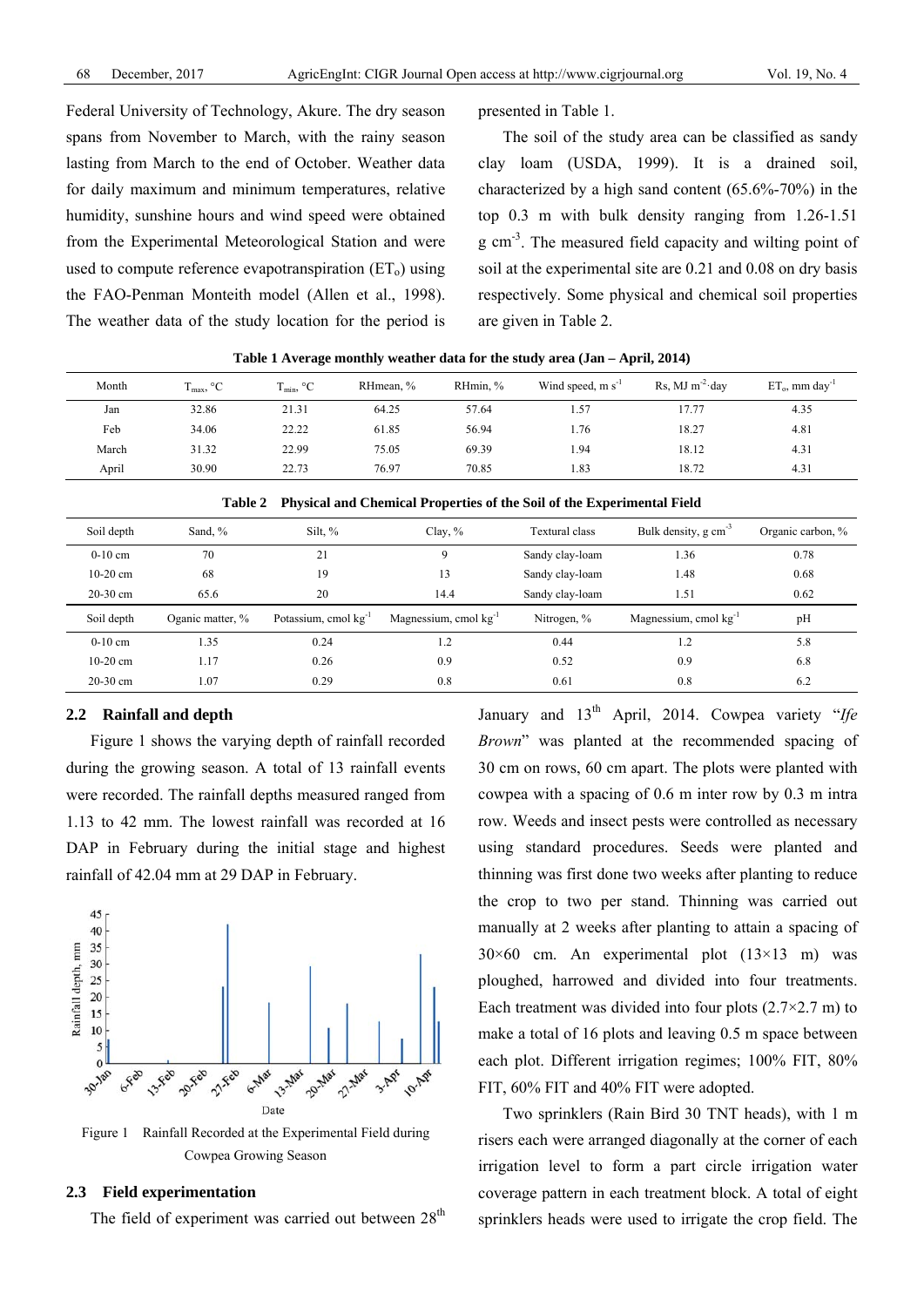Federal University of Technology, Akure. The dry season spans from November to March, with the rainy season lasting from March to the end of October. Weather data for daily maximum and minimum temperatures, relative humidity, sunshine hours and wind speed were obtained from the Experimental Meteorological Station and were used to compute reference evapotranspiration  $(ET_0)$  using the FAO-Penman Monteith model (Allen et al., 1998). The weather data of the study location for the period is presented in Table 1.

The soil of the study area can be classified as sandy clay loam (USDA, 1999). It is a drained soil, characterized by a high sand content (65.6%-70%) in the top 0.3 m with bulk density ranging from 1.26-1.51 g cm<sup>-3</sup>. The measured field capacity and wilting point of soil at the experimental site are 0.21 and 0.08 on dry basis respectively. Some physical and chemical soil properties are given in Table 2.

|       |                       | $\overline{\phantom{a}}$ | . .       |          |                        |                     |                               |
|-------|-----------------------|--------------------------|-----------|----------|------------------------|---------------------|-------------------------------|
| Month | $T_{\text{max}}$ , °C | $T_{\rm min}$ , °C       | RHmean, % | RHmin, % | Wind speed, $m s^{-1}$ | Rs, MJ $m^{-2}$ day | $ET_0$ , mm day <sup>-1</sup> |
| Jan   | 32.86                 | 21.31                    | 64.25     | 57.64    | 1.57                   | 17.77               | 4.35                          |
| Feb   | 34.06                 | 22.22                    | 61.85     | 56.94    | 1.76                   | 18.27               | 4.81                          |
| March | 31.32                 | 22.99                    | 75.05     | 69.39    | 1.94                   | 18.12               | 4.31                          |
| April | 30.90                 | 22.73                    | 76.97     | 70.85    | 1.83                   | 18.72               | 4.31                          |

| rabie 2<br>Physical and Chemical Properties of the Soil of the Experimental Pield |                  |                                  |                                   |                 |                                   |                   |
|-----------------------------------------------------------------------------------|------------------|----------------------------------|-----------------------------------|-----------------|-----------------------------------|-------------------|
| Soil depth                                                                        | Sand, %          | Silt, $\%$                       | Clay, $%$                         | Textural class  | Bulk density, $g \text{ cm}^{-3}$ | Organic carbon, % |
| $0-10$ cm                                                                         | 70               | 21                               | 9                                 | Sandy clay-loam | 1.36                              | 0.78              |
| $10-20$ cm                                                                        | 68               | 19                               | 13                                | Sandy clay-loam | 1.48                              | 0.68              |
| $20-30$ cm                                                                        | 65.6             | 20                               | 14.4                              | Sandy clay-loam | 1.51                              | 0.62              |
| Soil depth                                                                        | Oganic matter, % | Potassium, cmol kg <sup>-1</sup> | Magnessium, cmol kg <sup>-1</sup> | Nitrogen, %     | Magnessium, cmol kg               | pH                |
| $0-10$ cm                                                                         | 1.35             | 0.24                             | l.2                               | 0.44            | 1.2                               | 5.8               |
| $10-20$ cm                                                                        | 1.17             | 0.26                             | 0.9                               | 0.52            | 0.9                               | 6.8               |
| $20-30$ cm                                                                        | 1.07             | 0.29                             | 0.8                               | 0.61            | 0.8                               | 6.2               |

|  |  | Table 2 Physical and Chemical Properties of the Soil of the Experimental Field |  |  |
|--|--|--------------------------------------------------------------------------------|--|--|
|--|--|--------------------------------------------------------------------------------|--|--|

#### **2.2 Rainfall and depth**

Figure 1 shows the varying depth of rainfall recorded during the growing season. A total of 13 rainfall events were recorded. The rainfall depths measured ranged from 1.13 to 42 mm. The lowest rainfall was recorded at 16 DAP in February during the initial stage and highest rainfall of 42.04 mm at 29 DAP in February.



Figure 1 Rainfall Recorded at the Experimental Field during Cowpea Growing Season

#### **2.3 Field experimentation**

The field of experiment was carried out between  $28<sup>th</sup>$ 

January and 13<sup>th</sup> April, 2014. Cowpea variety "*Ife Brown*" was planted at the recommended spacing of 30 cm on rows, 60 cm apart. The plots were planted with cowpea with a spacing of 0.6 m inter row by 0.3 m intra row. Weeds and insect pests were controlled as necessary using standard procedures. Seeds were planted and thinning was first done two weeks after planting to reduce the crop to two per stand. Thinning was carried out manually at 2 weeks after planting to attain a spacing of  $30\times60$  cm. An experimental plot  $(13\times13$  m) was ploughed, harrowed and divided into four treatments. Each treatment was divided into four plots  $(2.7 \times 2.7 \text{ m})$  to make a total of 16 plots and leaving 0.5 m space between each plot. Different irrigation regimes; 100% FIT, 80% FIT, 60% FIT and 40% FIT were adopted.

Two sprinklers (Rain Bird 30 TNT heads), with 1 m risers each were arranged diagonally at the corner of each irrigation level to form a part circle irrigation water coverage pattern in each treatment block. A total of eight sprinklers heads were used to irrigate the crop field. The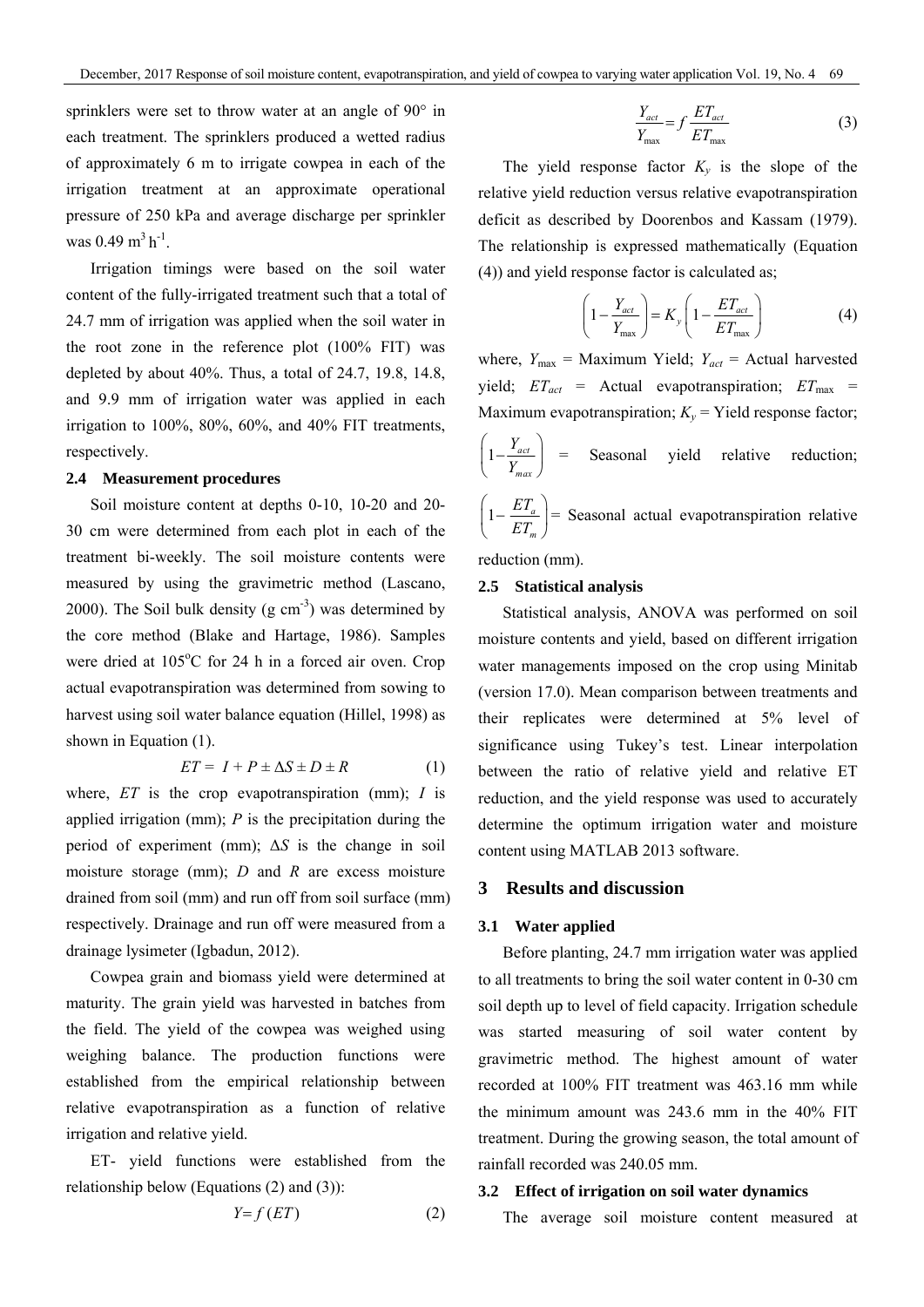sprinklers were set to throw water at an angle of 90° in each treatment. The sprinklers produced a wetted radius of approximately 6 m to irrigate cowpea in each of the irrigation treatment at an approximate operational pressure of 250 kPa and average discharge per sprinkler was  $0.49 \text{ m}^3 \text{ h}^{-1}$ .

Irrigation timings were based on the soil water content of the fully-irrigated treatment such that a total of 24.7 mm of irrigation was applied when the soil water in the root zone in the reference plot (100% FIT) was depleted by about 40%. Thus, a total of 24.7, 19.8, 14.8, and 9.9 mm of irrigation water was applied in each irrigation to 100%, 80%, 60%, and 40% FIT treatments, respectively.

#### **2.4 Measurement procedures**

Soil moisture content at depths 0-10, 10-20 and 20- 30 cm were determined from each plot in each of the treatment bi-weekly. The soil moisture contents were measured by using the gravimetric method (Lascano, 2000). The Soil bulk density  $(g \text{ cm}^{-3})$  was determined by the core method (Blake and Hartage, 1986). Samples were dried at  $105^{\circ}$ C for 24 h in a forced air oven. Crop actual evapotranspiration was determined from sowing to harvest using soil water balance equation (Hillel, 1998) as shown in Equation (1).

$$
ET = I + P \pm \Delta S \pm D \pm R \tag{1}
$$

where, *ET* is the crop evapotranspiration (mm); *I* is applied irrigation (mm); *P* is the precipitation during the period of experiment (mm); Δ*S* is the change in soil moisture storage (mm); *D* and *R* are excess moisture drained from soil (mm) and run off from soil surface (mm) respectively. Drainage and run off were measured from a drainage lysimeter (Igbadun, 2012).

Cowpea grain and biomass yield were determined at maturity. The grain yield was harvested in batches from the field. The yield of the cowpea was weighed using weighing balance. The production functions were established from the empirical relationship between relative evapotranspiration as a function of relative irrigation and relative yield.

ET- yield functions were established from the relationship below (Equations (2) and (3)):

$$
Y = f(ET) \tag{2}
$$

$$
\frac{Y_{act}}{Y_{max}} = f \frac{ET_{act}}{ET_{max}}
$$
 (3)

The yield response factor  $K_y$  is the slope of the relative yield reduction versus relative evapotranspiration deficit as described by Doorenbos and Kassam (1979). The relationship is expressed mathematically (Equation (4)) and yield response factor is calculated as;

$$
\left(1 - \frac{Y_{act}}{Y_{max}}\right) = K_y \left(1 - \frac{ET_{act}}{ET_{max}}\right)
$$
 (4)

where,  $Y_{\text{max}}$  = Maximum Yield;  $Y_{\text{act}}$  = Actual harvested yield;  $ET_{act}$  = Actual evapotranspiration;  $ET_{max}$  = Maximum evapotranspiration;  $K_v$  = Yield response factor;

$$
\left(1 - \frac{Y_{act}}{Y_{max}}\right) = \text{Seasonal yield relative reduction;}
$$

 $1 - \frac{H I_a}{F}$ *m ET*  $\left(1-\frac{ET_a}{ET_m}\right)$  $\left( E T_m \right)$ = Seasonal actual evapotranspiration relative

reduction (mm).

#### **2.5 Statistical analysis**

Statistical analysis, ANOVA was performed on soil moisture contents and yield, based on different irrigation water managements imposed on the crop using Minitab (version 17.0). Mean comparison between treatments and their replicates were determined at 5% level of significance using Tukey's test. Linear interpolation between the ratio of relative yield and relative ET reduction, and the yield response was used to accurately determine the optimum irrigation water and moisture content using MATLAB 2013 software.

#### **3 Results and discussion**

#### **3.1 Water applied**

Before planting, 24.7 mm irrigation water was applied to all treatments to bring the soil water content in 0-30 cm soil depth up to level of field capacity. Irrigation schedule was started measuring of soil water content by gravimetric method. The highest amount of water recorded at 100% FIT treatment was 463.16 mm while the minimum amount was 243.6 mm in the 40% FIT treatment. During the growing season, the total amount of rainfall recorded was 240.05 mm.

#### **3.2 Effect of irrigation on soil water dynamics**

The average soil moisture content measured at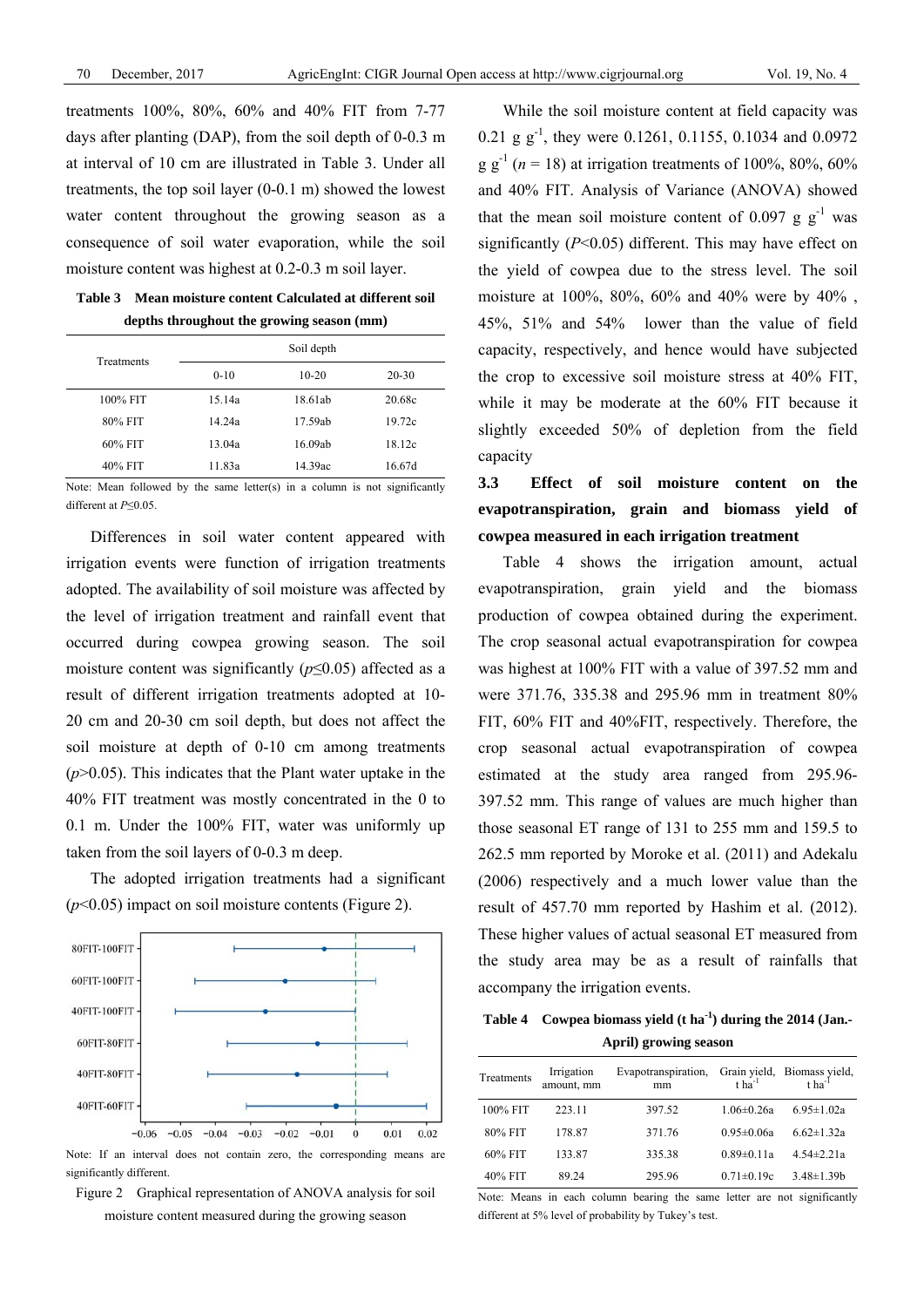treatments 100%, 80%, 60% and 40% FIT from 7-77 days after planting (DAP), from the soil depth of 0-0.3 m at interval of 10 cm are illustrated in Table 3. Under all treatments, the top soil layer (0-0.1 m) showed the lowest water content throughout the growing season as a consequence of soil water evaporation, while the soil moisture content was highest at 0.2-0.3 m soil layer.

**Table 3 Mean moisture content Calculated at different soil depths throughout the growing season (mm)** 

| Treatments | Soil depth |         |           |  |  |
|------------|------------|---------|-----------|--|--|
|            | $0 - 10$   | $10-20$ | $20 - 30$ |  |  |
| 100% FIT   | 15.14a     | 18.61ab | 20.68c    |  |  |
| 80% FIT    | 14.24a     | 17.59ab | 19.72c    |  |  |
| $60\%$ FIT | 13.04a     | 16.09ab | 18.12c    |  |  |
| 40% FIT    | 11.83a     | 14.39ac | 16.67d    |  |  |

Note: Mean followed by the same letter(s) in a column is not significantly different at *P*≤0.05.

Differences in soil water content appeared with irrigation events were function of irrigation treatments adopted. The availability of soil moisture was affected by the level of irrigation treatment and rainfall event that occurred during cowpea growing season. The soil moisture content was significantly  $(p \le 0.05)$  affected as a result of different irrigation treatments adopted at 10- 20 cm and 20-30 cm soil depth, but does not affect the soil moisture at depth of 0-10 cm among treatments  $(p>0.05)$ . This indicates that the Plant water uptake in the 40% FIT treatment was mostly concentrated in the 0 to 0.1 m. Under the 100% FIT, water was uniformly up taken from the soil layers of 0-0.3 m deep.

The adopted irrigation treatments had a significant (*p*<0.05) impact on soil moisture contents (Figure 2).



Note: If an interval does not contain zero, the corresponding means are significantly different.

Figure 2 Graphical representation of ANOVA analysis for soil moisture content measured during the growing season

While the soil moisture content at field capacity was 0.21 g  $g^{-1}$ , they were 0.1261, 0.1155, 0.1034 and 0.0972  $g g^{-1}$  (*n* = 18) at irrigation treatments of 100%, 80%, 60% and 40% FIT. Analysis of Variance (ANOVA) showed that the mean soil moisture content of 0.097 g  $g^{-1}$  was significantly (*P*<0.05) different. This may have effect on the yield of cowpea due to the stress level. The soil moisture at 100%, 80%, 60% and 40% were by 40% , 45%, 51% and 54% lower than the value of field capacity, respectively, and hence would have subjected the crop to excessive soil moisture stress at 40% FIT, while it may be moderate at the 60% FIT because it slightly exceeded 50% of depletion from the field capacity

**3.3 Effect of soil moisture content on the evapotranspiration, grain and biomass yield of cowpea measured in each irrigation treatment** 

Table 4 shows the irrigation amount, actual evapotranspiration, grain yield and the biomass production of cowpea obtained during the experiment. The crop seasonal actual evapotranspiration for cowpea was highest at 100% FIT with a value of 397.52 mm and were 371.76, 335.38 and 295.96 mm in treatment 80% FIT, 60% FIT and 40%FIT, respectively. Therefore, the crop seasonal actual evapotranspiration of cowpea estimated at the study area ranged from 295.96- 397.52 mm. This range of values are much higher than those seasonal ET range of 131 to 255 mm and 159.5 to 262.5 mm reported by Moroke et al. (2011) and Adekalu (2006) respectively and a much lower value than the result of 457.70 mm reported by Hashim et al. (2012). These higher values of actual seasonal ET measured from the study area may be as a result of rainfalls that accompany the irrigation events.

**Table 4 Cowpea biomass yield (t ha-1) during the 2014 (Jan.- April) growing season** 

| Treatments | Irrigation<br>amount, mm | Evapotranspiration, Grain yield, Biomass yield,<br>$\frac{1}{1}$ tha <sup>-1</sup> tha <sup>-1</sup> |                  |                   |
|------------|--------------------------|------------------------------------------------------------------------------------------------------|------------------|-------------------|
| 100% FIT   | 223.11                   | 397.52                                                                                               | $1.06 \pm 0.26a$ | $6.95 \pm 1.02a$  |
| 80% FIT    | 178.87                   | 371.76                                                                                               | $0.95 \pm 0.06a$ | $6.62 \pm 1.32a$  |
| 60% FIT    | 133.87                   | 335.38                                                                                               | $0.89 \pm 0.11a$ | $4.54 \pm 2.21a$  |
| 40% FIT    | 89.24                    | 295.96                                                                                               | $0.71 \pm 0.19c$ | $3.48 \pm 1.39 b$ |

Note: Means in each column bearing the same letter are not significantly different at 5% level of probability by Tukey's test.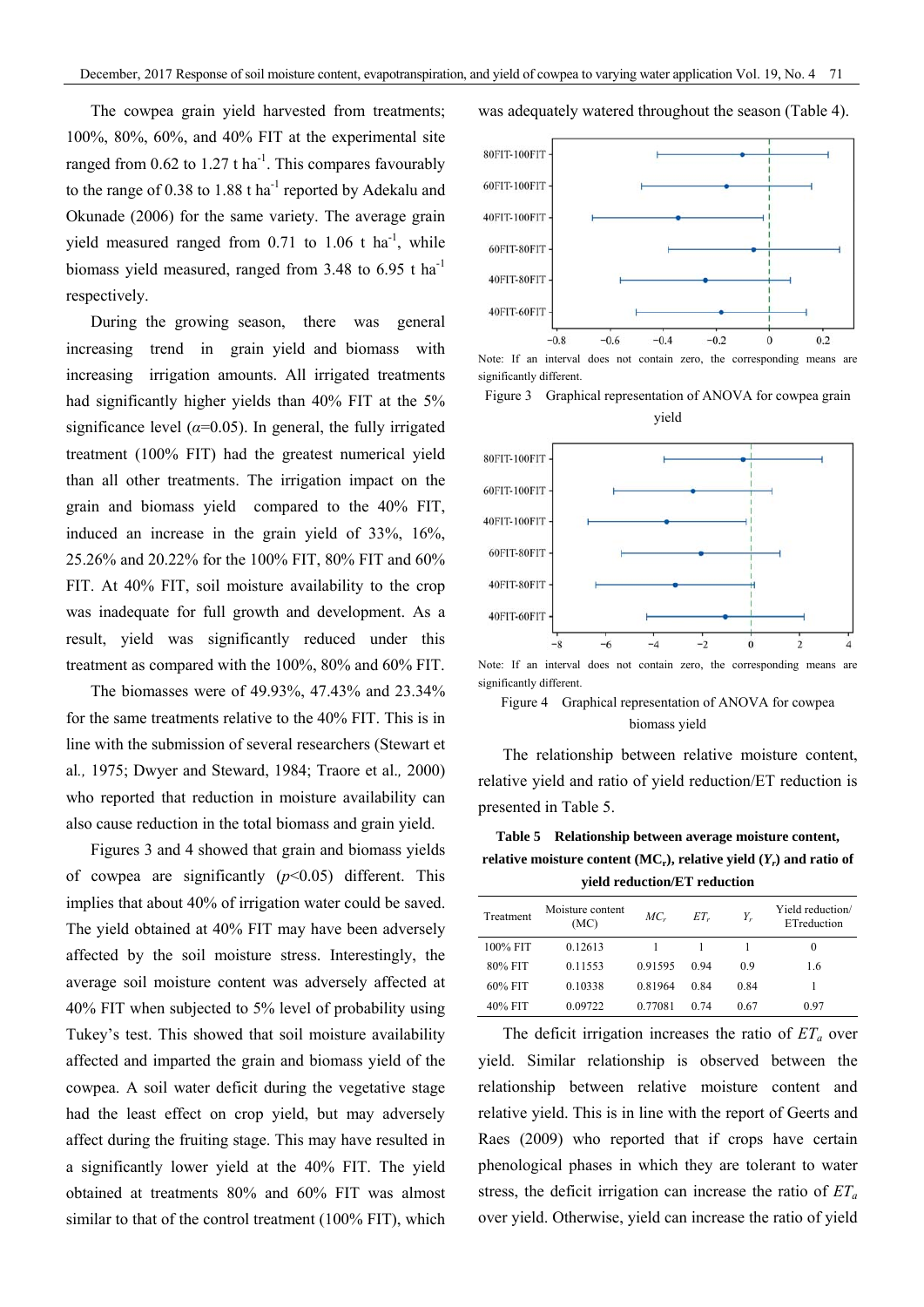The cowpea grain yield harvested from treatments; 100%, 80%, 60%, and 40% FIT at the experimental site ranged from 0.62 to 1.27 t ha<sup>-1</sup>. This compares favourably to the range of  $0.38$  to  $1.88$  t ha<sup>-1</sup> reported by Adekalu and Okunade (2006) for the same variety. The average grain yield measured ranged from 0.71 to 1.06 t ha<sup>-1</sup>, while biomass yield measured, ranged from 3.48 to 6.95 t ha<sup>-1</sup> respectively.

During the growing season, there was general increasing trend in grain yield and biomass with increasing irrigation amounts. All irrigated treatments had significantly higher yields than 40% FIT at the 5% significance level  $(\alpha=0.05)$ . In general, the fully irrigated treatment (100% FIT) had the greatest numerical yield than all other treatments. The irrigation impact on the grain and biomass yield compared to the 40% FIT, induced an increase in the grain yield of 33%, 16%, 25.26% and 20.22% for the 100% FIT, 80% FIT and 60% FIT. At 40% FIT, soil moisture availability to the crop was inadequate for full growth and development. As a result, yield was significantly reduced under this treatment as compared with the 100%, 80% and 60% FIT.

The biomasses were of 49.93%, 47.43% and 23.34% for the same treatments relative to the 40% FIT. This is in line with the submission of several researchers (Stewart et al*.,* 1975; Dwyer and Steward, 1984; Traore et al.*,* 2000) who reported that reduction in moisture availability can also cause reduction in the total biomass and grain yield.

Figures 3 and 4 showed that grain and biomass yields of cowpea are significantly  $(p<0.05)$  different. This implies that about 40% of irrigation water could be saved. The yield obtained at 40% FIT may have been adversely affected by the soil moisture stress. Interestingly, the average soil moisture content was adversely affected at 40% FIT when subjected to 5% level of probability using Tukey's test. This showed that soil moisture availability affected and imparted the grain and biomass yield of the cowpea. A soil water deficit during the vegetative stage had the least effect on crop yield, but may adversely affect during the fruiting stage. This may have resulted in a significantly lower yield at the 40% FIT. The yield obtained at treatments 80% and 60% FIT was almost similar to that of the control treatment (100% FIT), which

#### was adequately watered throughout the season (Table 4).



Note: If an interval does not contain zero, the corresponding means are significantly different.

Figure 3 Graphical representation of ANOVA for cowpea grain yield



significantly different.

Figure 4 Graphical representation of ANOVA for cowpea biomass yield

The relationship between relative moisture content, relative yield and ratio of yield reduction/ET reduction is presented in Table 5.

**Table 5 Relationship between average moisture content, relative moisture content (MCr), relative yield (***Yr***) and ratio of yield reduction/ET reduction** 

| Treatment | Moisture content<br>(MC) | $MC_r$  | $ET_r$ | Y,   | Yield reduction/<br>ETreduction |
|-----------|--------------------------|---------|--------|------|---------------------------------|
| 100% FIT  | 0.12613                  |         |        |      | 0                               |
| 80% FIT   | 0.11553                  | 0.91595 | 0.94   | 0.9  | 1.6                             |
| 60% FIT   | 0.10338                  | 0.81964 | 0.84   | 0.84 |                                 |
| 40% FIT   | 0.09722                  | 0.77081 | 0.74   | 0.67 | 0.97                            |

The deficit irrigation increases the ratio of  $ET_a$  over yield. Similar relationship is observed between the relationship between relative moisture content and relative yield. This is in line with the report of Geerts and Raes (2009) who reported that if crops have certain phenological phases in which they are tolerant to water stress, the deficit irrigation can increase the ratio of  $ET_a$ over yield. Otherwise, yield can increase the ratio of yield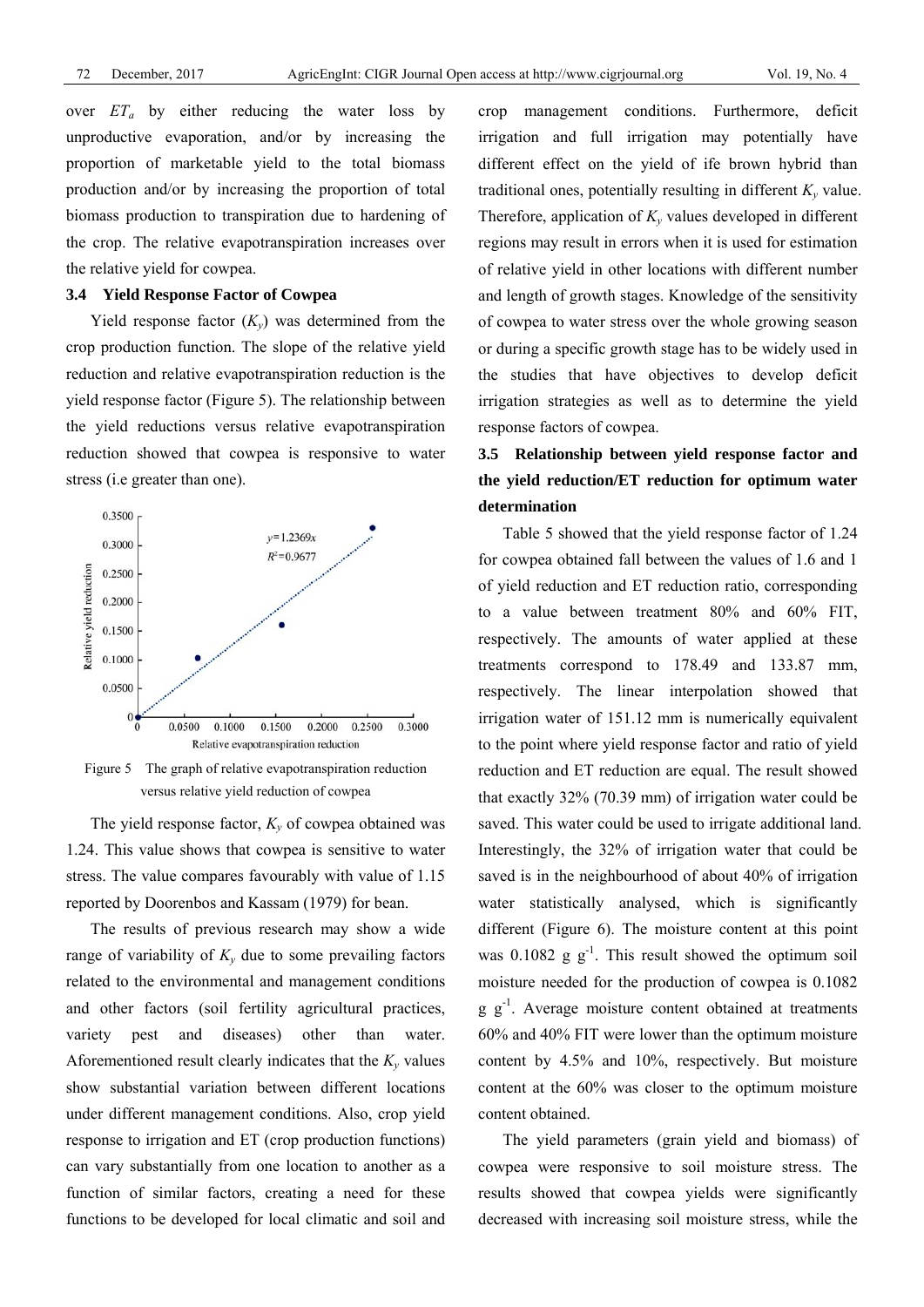over  $ET_a$  by either reducing the water loss by unproductive evaporation, and/or by increasing the proportion of marketable yield to the total biomass production and/or by increasing the proportion of total biomass production to transpiration due to hardening of the crop. The relative evapotranspiration increases over the relative yield for cowpea.

#### **3.4 Yield Response Factor of Cowpea**

Yield response factor  $(K_v)$  was determined from the crop production function. The slope of the relative yield reduction and relative evapotranspiration reduction is the yield response factor (Figure 5). The relationship between the yield reductions versus relative evapotranspiration reduction showed that cowpea is responsive to water stress (i.e greater than one).



Figure 5 The graph of relative evapotranspiration reduction versus relative yield reduction of cowpea

The yield response factor,  $K_v$  of cowpea obtained was 1.24. This value shows that cowpea is sensitive to water stress. The value compares favourably with value of 1.15 reported by Doorenbos and Kassam (1979) for bean.

The results of previous research may show a wide range of variability of  $K_v$  due to some prevailing factors related to the environmental and management conditions and other factors (soil fertility agricultural practices, variety pest and diseases) other than water. Aforementioned result clearly indicates that the  $K_v$  values show substantial variation between different locations under different management conditions. Also, crop yield response to irrigation and ET (crop production functions) can vary substantially from one location to another as a function of similar factors, creating a need for these functions to be developed for local climatic and soil and crop management conditions. Furthermore, deficit irrigation and full irrigation may potentially have different effect on the yield of ife brown hybrid than traditional ones, potentially resulting in different  $K_v$  value. Therefore, application of  $K_v$  values developed in different regions may result in errors when it is used for estimation of relative yield in other locations with different number and length of growth stages. Knowledge of the sensitivity of cowpea to water stress over the whole growing season or during a specific growth stage has to be widely used in the studies that have objectives to develop deficit irrigation strategies as well as to determine the yield response factors of cowpea.

## **3.5 Relationship between yield response factor and the yield reduction/ET reduction for optimum water determination**

Table 5 showed that the yield response factor of 1.24 for cowpea obtained fall between the values of 1.6 and 1 of yield reduction and ET reduction ratio, corresponding to a value between treatment 80% and 60% FIT, respectively. The amounts of water applied at these treatments correspond to 178.49 and 133.87 mm, respectively. The linear interpolation showed that irrigation water of 151.12 mm is numerically equivalent to the point where yield response factor and ratio of yield reduction and ET reduction are equal. The result showed that exactly 32% (70.39 mm) of irrigation water could be saved. This water could be used to irrigate additional land. Interestingly, the 32% of irrigation water that could be saved is in the neighbourhood of about 40% of irrigation water statistically analysed, which is significantly different (Figure 6). The moisture content at this point was 0.1082 g  $g^{-1}$ . This result showed the optimum soil moisture needed for the production of cowpea is 0.1082  $g \, g^{-1}$ . Average moisture content obtained at treatments 60% and 40% FIT were lower than the optimum moisture content by 4.5% and 10%, respectively. But moisture content at the 60% was closer to the optimum moisture content obtained.

The yield parameters (grain yield and biomass) of cowpea were responsive to soil moisture stress. The results showed that cowpea yields were significantly decreased with increasing soil moisture stress, while the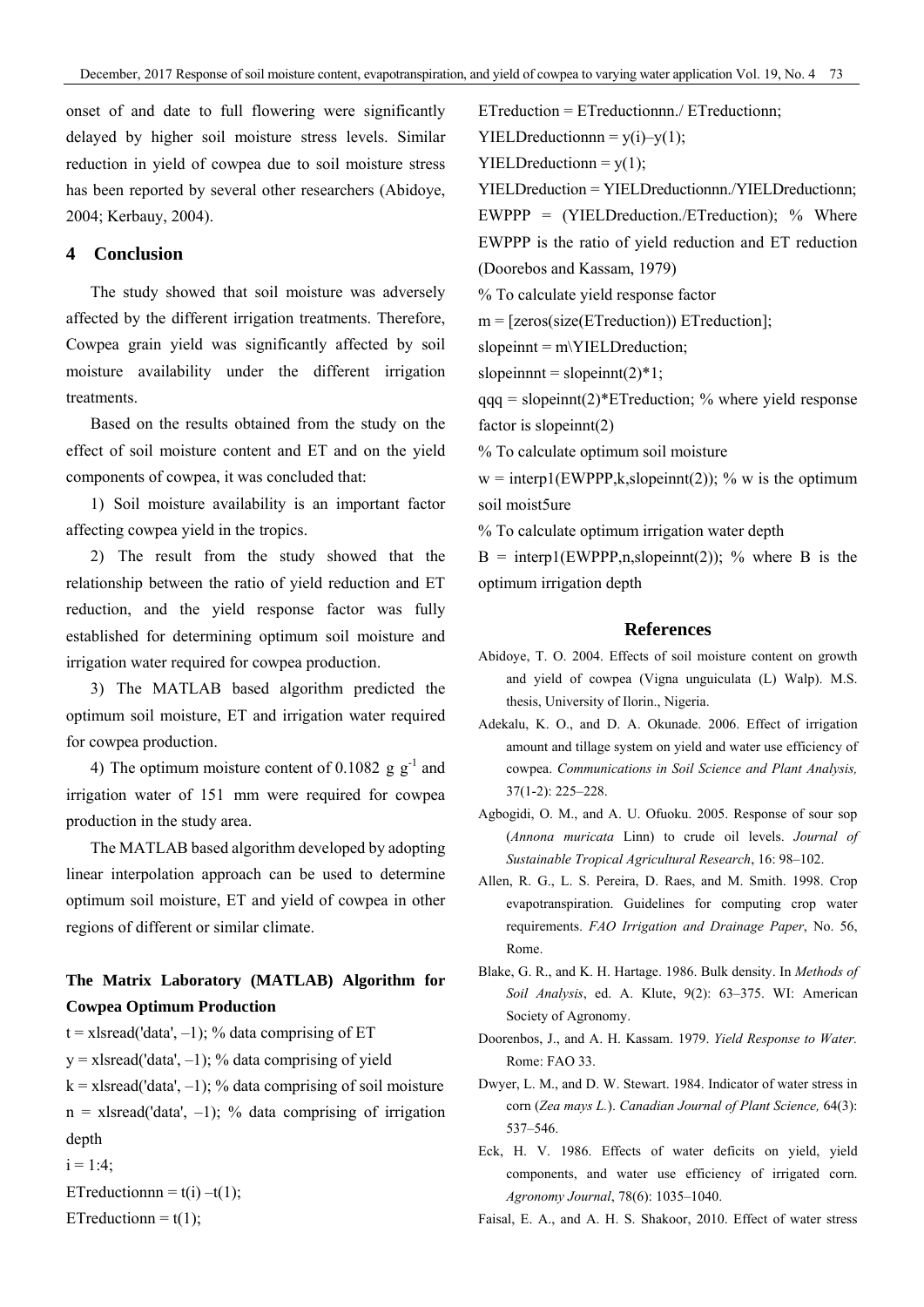onset of and date to full flowering were significantly delayed by higher soil moisture stress levels. Similar reduction in yield of cowpea due to soil moisture stress has been reported by several other researchers (Abidoye, 2004; Kerbauy, 2004).

#### **4 Conclusion**

The study showed that soil moisture was adversely affected by the different irrigation treatments. Therefore, Cowpea grain yield was significantly affected by soil moisture availability under the different irrigation treatments.

Based on the results obtained from the study on the effect of soil moisture content and ET and on the yield components of cowpea, it was concluded that:

1) Soil moisture availability is an important factor affecting cowpea yield in the tropics.

2) The result from the study showed that the relationship between the ratio of yield reduction and ET reduction, and the yield response factor was fully established for determining optimum soil moisture and irrigation water required for cowpea production.

3) The MATLAB based algorithm predicted the optimum soil moisture, ET and irrigation water required for cowpea production.

4) The optimum moisture content of 0.1082 g  $g^{-1}$  and irrigation water of 151 mm were required for cowpea production in the study area.

The MATLAB based algorithm developed by adopting linear interpolation approach can be used to determine optimum soil moisture, ET and yield of cowpea in other regions of different or similar climate.

### **The Matrix Laboratory (MATLAB) Algorithm for Cowpea Optimum Production**

- $t = x$  lsread ('data', -1); % data comprising of ET
- $y = x$ lsread('data', -1); % data comprising of yield

 $k = x$  star and ('data',  $-1$ ); % data comprising of soil moisture

 $n = x$  lsread ('data', -1); % data comprising of irrigation depth

```
i = 1:4;
```

```
ETreductionnn = t(i) -t(1);
```
ETreductionn =  $t(1)$ ;

ETreduction = ETreductionnn./ ETreductionn;

 $YIELD reductionnn = y(i) - y(1);$ 

 $YIELD reduction = y(1);$ 

YIELDreduction = YIELDreductionnn./YIELDreductionn; EWPPP =  $(YIELD reduction / ET reduction)$ ; % Where EWPPP is the ratio of yield reduction and ET reduction (Doorebos and Kassam, 1979)

% To calculate yield response factor

m = [zeros(size(ETreduction)) ETreduction];

slopeinnt = m\YIELDreduction;

slopeinnt = slopeinnt $(2)^*1$ ;

 $qqq = slopeinnt(2)*ETeduction; % where yield response$ factor is slopeinnt(2)

% To calculate optimum soil moisture

 $w = \text{interp1}(\text{EWPPP}, k, \text{slopeinnt}(2))$ ; % w is the optimum soil moist5ure

% To calculate optimum irrigation water depth

 $B = interp1(EWPPP,n, slopeinnt(2))$ ; % where B is the optimum irrigation depth

#### **References**

- Abidoye, T. O. 2004. Effects of soil moisture content on growth and yield of cowpea (Vigna unguiculata (L) Walp). M.S. thesis, University of Ilorin., Nigeria.
- Adekalu, K. O., and D. A. Okunade. 2006. Effect of irrigation amount and tillage system on yield and water use efficiency of cowpea. *Communications in Soil Science and Plant Analysis,*  37(1-2): 225–228.
- Agbogidi, O. M., and A. U. Ofuoku. 2005. Response of sour sop (*Annona muricata* Linn) to crude oil levels. *Journal of Sustainable Tropical Agricultural Research*, 16: 98–102.
- Allen, R. G., L. S. Pereira, D. Raes, and M. Smith. 1998. Crop evapotranspiration. Guidelines for computing crop water requirements. *FAO Irrigation and Drainage Paper*, No. 56, Rome.
- Blake, G. R., and K. H. Hartage. 1986. Bulk density. In *Methods of Soil Analysis*, ed. A. Klute, 9(2): 63–375. WI: American Society of Agronomy.
- Doorenbos, J., and A. H. Kassam. 1979. *Yield Response to Water.* Rome: FAO 33.
- Dwyer, L. M., and D. W. Stewart. 1984. Indicator of water stress in corn (*Zea mays L.*). *Canadian Journal of Plant Science,* 64(3): 537–546.
- Eck, H. V. 1986. Effects of water deficits on yield, yield components, and water use efficiency of irrigated corn. *Agronomy Journal*, 78(6): 1035–1040.

Faisal, E. A., and A. H. S. Shakoor, 2010. Effect of water stress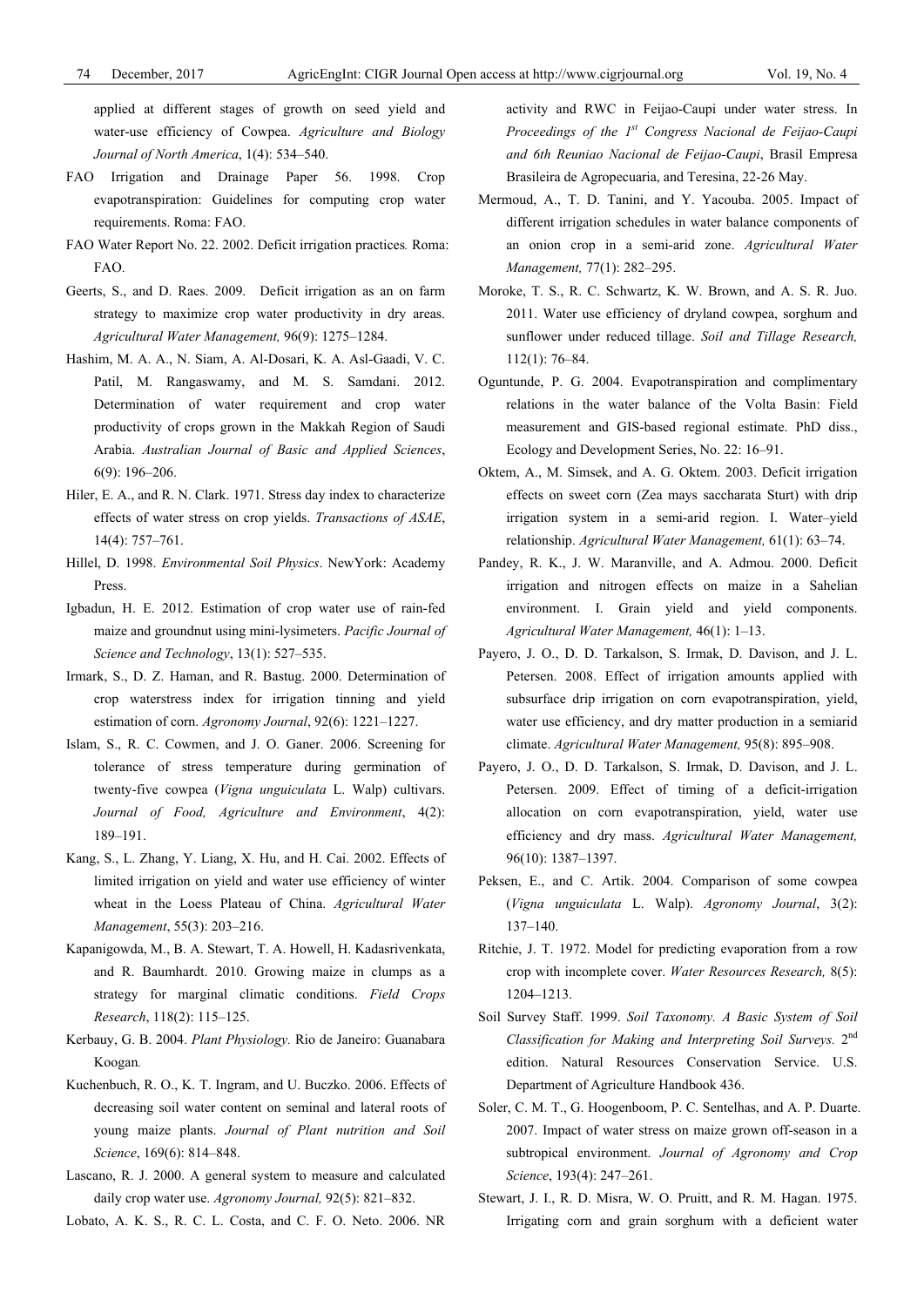applied at different stages of growth on seed yield and water-use efficiency of Cowpea. *Agriculture and Biology Journal of North America*, 1(4): 534–540.

- FAO Irrigation and Drainage Paper 56. 1998. Crop evapotranspiration: Guidelines for computing crop water requirements. Roma: FAO.
- FAO Water Report No. 22. 2002. Deficit irrigation practices*.* Roma: FAO.
- Geerts, S., and D. Raes. 2009. Deficit irrigation as an on farm strategy to maximize crop water productivity in dry areas. *Agricultural Water Management,* 96(9): 1275–1284.
- Hashim, M. A. A., N. Siam, A. Al-Dosari, K. A. Asl-Gaadi, V. C. Patil, M. Rangaswamy, and M. S. Samdani. 2012. Determination of water requirement and crop water productivity of crops grown in the Makkah Region of Saudi Arabia. *Australian Journal of Basic and Applied Sciences*, 6(9): 196–206.
- Hiler, E. A., and R. N. Clark. 1971. Stress day index to characterize effects of water stress on crop yields. *Transactions of ASAE*, 14(4): 757–761.
- Hillel, D. 1998. *Environmental Soil Physics*. NewYork: Academy Press.
- Igbadun, H. E. 2012. Estimation of crop water use of rain-fed maize and groundnut using mini-lysimeters. *Pacific Journal of Science and Technology*, 13(1): 527–535.
- Irmark, S., D. Z. Haman, and R. Bastug. 2000. Determination of crop waterstress index for irrigation tinning and yield estimation of corn. *Agronomy Journal*, 92(6): 1221–1227.
- Islam, S., R. C. Cowmen, and J. O. Ganer. 2006. Screening for tolerance of stress temperature during germination of twenty-five cowpea (*Vigna unguiculata* L. Walp) cultivars. *Journal of Food, Agriculture and Environment*, 4(2): 189–191.
- Kang, S., L. Zhang, Y. Liang, X. Hu, and H. Cai. 2002. Effects of limited irrigation on yield and water use efficiency of winter wheat in the Loess Plateau of China. *Agricultural Water Management*, 55(3): 203–216.
- Kapanigowda, M., B. A. Stewart, T. A. Howell, H. Kadasrivenkata, and R. Baumhardt. 2010. Growing maize in clumps as a strategy for marginal climatic conditions. *Field Crops Research*, 118(2): 115–125.
- Kerbauy, G. B. 2004. *Plant Physiology.* Rio de Janeiro: Guanabara Koogan*.*
- Kuchenbuch, R. O., K. T. Ingram, and U. Buczko. 2006. Effects of decreasing soil water content on seminal and lateral roots of young maize plants. *Journal of Plant nutrition and Soil Science*, 169(6): 814–848.
- Lascano, R. J. 2000. A general system to measure and calculated daily crop water use. *Agronomy Journal,* 92(5): 821–832.

Lobato, A. K. S., R. C. L. Costa, and C. F. O. Neto. 2006. NR

activity and RWC in Feijao-Caupi under water stress. In *Proceedings of the 1st Congress Nacional de Feijao-Caupi and 6th Reuniao Nacional de Feijao-Caupi*, Brasil Empresa Brasileira de Agropecuaria, and Teresina, 22-26 May.

- Mermoud, A., T. D. Tanini, and Y. Yacouba. 2005. Impact of different irrigation schedules in water balance components of an onion crop in a semi-arid zone. *Agricultural Water Management,* 77(1): 282–295.
- Moroke, T. S., R. C. Schwartz, K. W. Brown, and A. S. R. Juo. 2011. Water use efficiency of dryland cowpea, sorghum and sunflower under reduced tillage. *Soil and Tillage Research,*  112(1): 76–84.
- Oguntunde, P. G. 2004. Evapotranspiration and complimentary relations in the water balance of the Volta Basin: Field measurement and GIS-based regional estimate. PhD diss., Ecology and Development Series, No. 22: 16–91.
- Oktem, A., M. Simsek, and A. G. Oktem. 2003. Deficit irrigation effects on sweet corn (Zea mays saccharata Sturt) with drip irrigation system in a semi-arid region. I. Water–yield relationship. *Agricultural Water Management,* 61(1): 63–74.
- Pandey, R. K., J. W. Maranville, and A. Admou. 2000. Deficit irrigation and nitrogen effects on maize in a Sahelian environment. I. Grain yield and yield components. *Agricultural Water Management,* 46(1): 1–13.
- Payero, J. O., D. D. Tarkalson, S. Irmak, D. Davison, and J. L. Petersen. 2008. Effect of irrigation amounts applied with subsurface drip irrigation on corn evapotranspiration, yield, water use efficiency, and dry matter production in a semiarid climate. *Agricultural Water Management,* 95(8): 895–908.
- Payero, J. O., D. D. Tarkalson, S. Irmak, D. Davison, and J. L. Petersen. 2009. Effect of timing of a deficit-irrigation allocation on corn evapotranspiration, yield, water use efficiency and dry mass. *Agricultural Water Management,* 96(10): 1387–1397.
- Peksen, E., and C. Artik. 2004. Comparison of some cowpea (*Vigna unguiculata* L. Walp). *Agronomy Journal*, 3(2): 137–140.
- Ritchie, J. T. 1972. Model for predicting evaporation from a row crop with incomplete cover. *Water Resources Research,* 8(5): 1204–1213.
- Soil Survey Staff. 1999. *Soil Taxonomy. A Basic System of Soil Classification for Making and Interpreting Soil Surveys.* 2nd edition. Natural Resources Conservation Service. U.S. Department of Agriculture Handbook 436.
- Soler, C. M. T., G. Hoogenboom, P. C. Sentelhas, and A. P. Duarte. 2007. Impact of water stress on maize grown off-season in a subtropical environment. *Journal of Agronomy and Crop Science*, 193(4): 247–261.
- Stewart, J. I., R. D. Misra, W. O. Pruitt, and R. M. Hagan. 1975. Irrigating corn and grain sorghum with a deficient water